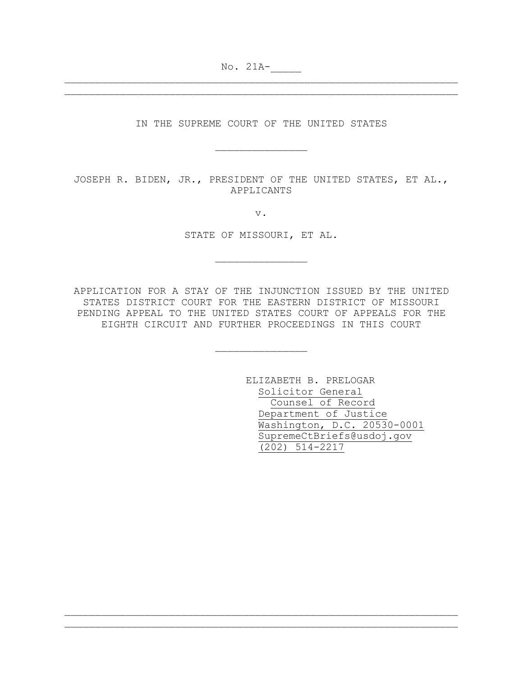No. 21A-\_\_\_\_\_

IN THE SUPREME COURT OF THE UNITED STATES

\_\_\_\_\_\_\_\_\_\_\_\_\_\_\_

\_\_\_\_\_\_\_\_\_\_\_\_\_\_\_\_\_\_\_\_\_\_\_\_\_\_\_\_\_\_\_\_\_\_\_\_\_\_\_\_\_\_\_\_\_\_\_\_\_\_\_\_\_\_\_\_\_\_\_\_\_\_\_\_ \_\_\_\_\_\_\_\_\_\_\_\_\_\_\_\_\_\_\_\_\_\_\_\_\_\_\_\_\_\_\_\_\_\_\_\_\_\_\_\_\_\_\_\_\_\_\_\_\_\_\_\_\_\_\_\_\_\_\_\_\_\_\_\_

JOSEPH R. BIDEN, JR., PRESIDENT OF THE UNITED STATES, ET AL., APPLICANTS

v.

STATE OF MISSOURI, ET AL.

\_\_\_\_\_\_\_\_\_\_\_\_\_\_\_

APPLICATION FOR A STAY OF THE INJUNCTION ISSUED BY THE UNITED STATES DISTRICT COURT FOR THE EASTERN DISTRICT OF MISSOURI PENDING APPEAL TO THE UNITED STATES COURT OF APPEALS FOR THE EIGHTH CIRCUIT AND FURTHER PROCEEDINGS IN THIS COURT

\_\_\_\_\_\_\_\_\_\_\_\_\_\_\_

\_\_\_\_\_\_\_\_\_\_\_\_\_\_\_\_\_\_\_\_\_\_\_\_\_\_\_\_\_\_\_\_\_\_\_\_\_\_\_\_\_\_\_\_\_\_\_\_\_\_\_\_\_\_\_\_\_\_\_\_\_\_\_\_ \_\_\_\_\_\_\_\_\_\_\_\_\_\_\_\_\_\_\_\_\_\_\_\_\_\_\_\_\_\_\_\_\_\_\_\_\_\_\_\_\_\_\_\_\_\_\_\_\_\_\_\_\_\_\_\_\_\_\_\_\_\_\_\_

ELIZABETH B. PRELOGAR Solicitor General Counsel of Record Department of Justice Washington, D.C. 20530-0001 SupremeCtBriefs@usdoj.gov (202) 514-2217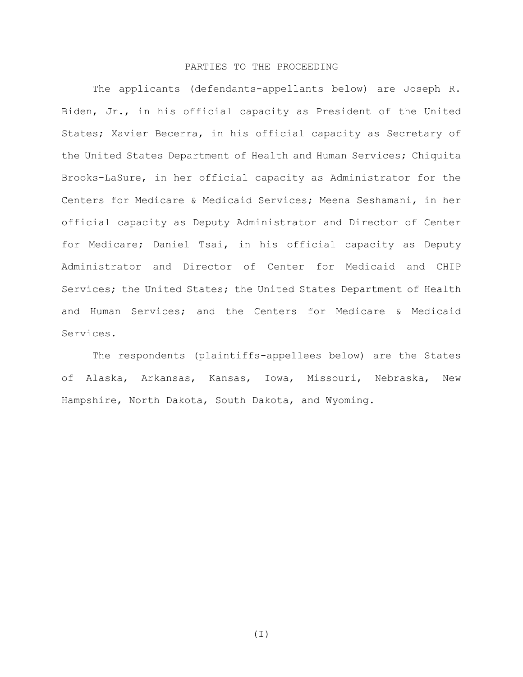# PARTIES TO THE PROCEEDING

The applicants (defendants-appellants below) are Joseph R. Biden, Jr., in his official capacity as President of the United States; Xavier Becerra, in his official capacity as Secretary of the United States Department of Health and Human Services; Chiquita Brooks-LaSure, in her official capacity as Administrator for the Centers for Medicare & Medicaid Services; Meena Seshamani, in her official capacity as Deputy Administrator and Director of Center for Medicare; Daniel Tsai, in his official capacity as Deputy Administrator and Director of Center for Medicaid and CHIP Services; the United States; the United States Department of Health and Human Services; and the Centers for Medicare & Medicaid Services.

The respondents (plaintiffs-appellees below) are the States of Alaska, Arkansas, Kansas, Iowa, Missouri, Nebraska, New Hampshire, North Dakota, South Dakota, and Wyoming.

(I)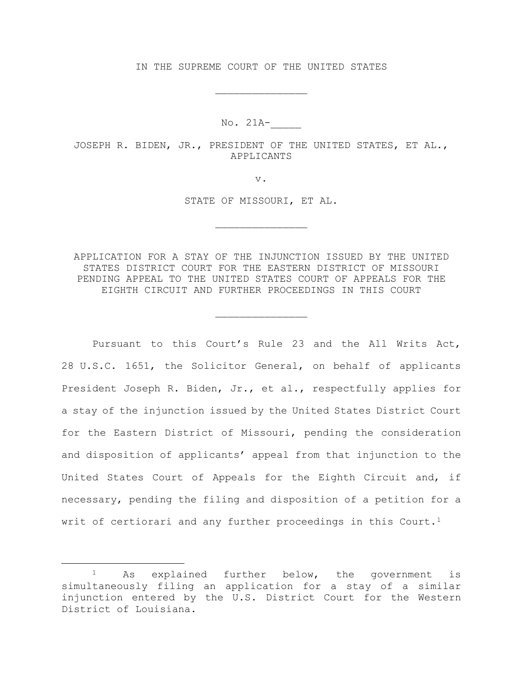IN THE SUPREME COURT OF THE UNITED STATES

\_\_\_\_\_\_\_\_\_\_\_\_\_\_\_

No. 21A-\_\_\_\_\_

JOSEPH R. BIDEN, JR., PRESIDENT OF THE UNITED STATES, ET AL., APPLICANTS

v.

STATE OF MISSOURI, ET AL.

\_\_\_\_\_\_\_\_\_\_\_\_\_\_\_

APPLICATION FOR A STAY OF THE INJUNCTION ISSUED BY THE UNITED STATES DISTRICT COURT FOR THE EASTERN DISTRICT OF MISSOURI PENDING APPEAL TO THE UNITED STATES COURT OF APPEALS FOR THE EIGHTH CIRCUIT AND FURTHER PROCEEDINGS IN THIS COURT

\_\_\_\_\_\_\_\_\_\_\_\_\_\_\_

Pursuant to this Court's Rule 23 and the All Writs Act, 28 U.S.C. 1651, the Solicitor General, on behalf of applicants President Joseph R. Biden, Jr., et al., respectfully applies for a stay of the injunction issued by the United States District Court for the Eastern District of Missouri, pending the consideration and disposition of applicants' appeal from that injunction to the United States Court of Appeals for the Eighth Circuit and, if necessary, pending the filing and disposition of a petition for a writ of certiorari and any further proceedings in this Court.<sup>[1](#page-2-0)</sup>

<span id="page-2-0"></span><sup>1</sup> As explained further below, the government is simultaneously filing an application for a stay of a similar injunction entered by the U.S. District Court for the Western District of Louisiana.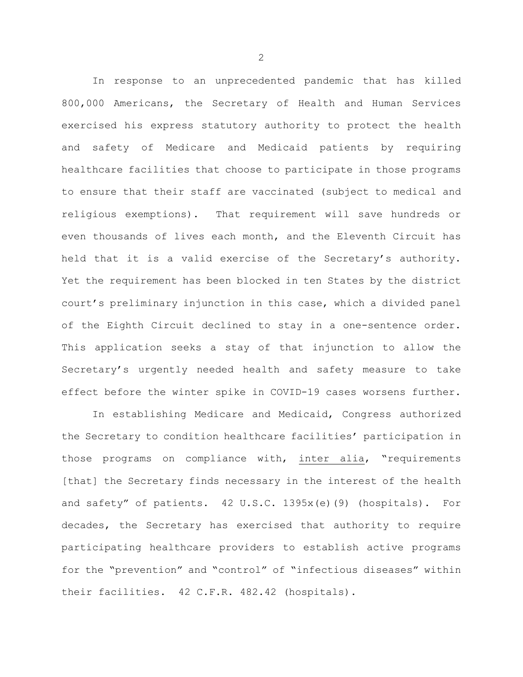In response to an unprecedented pandemic that has killed 800,000 Americans, the Secretary of Health and Human Services exercised his express statutory authority to protect the health and safety of Medicare and Medicaid patients by requiring healthcare facilities that choose to participate in those programs to ensure that their staff are vaccinated (subject to medical and religious exemptions). That requirement will save hundreds or even thousands of lives each month, and the Eleventh Circuit has held that it is a valid exercise of the Secretary's authority. Yet the requirement has been blocked in ten States by the district court's preliminary injunction in this case, which a divided panel of the Eighth Circuit declined to stay in a one-sentence order. This application seeks a stay of that injunction to allow the Secretary's urgently needed health and safety measure to take effect before the winter spike in COVID-19 cases worsens further.

In establishing Medicare and Medicaid, Congress authorized the Secretary to condition healthcare facilities' participation in those programs on compliance with, inter alia, "requirements [that] the Secretary finds necessary in the interest of the health and safety" of patients. 42 U.S.C. 1395x(e)(9) (hospitals). For decades, the Secretary has exercised that authority to require participating healthcare providers to establish active programs for the "prevention" and "control" of "infectious diseases" within their facilities. 42 C.F.R. 482.42 (hospitals).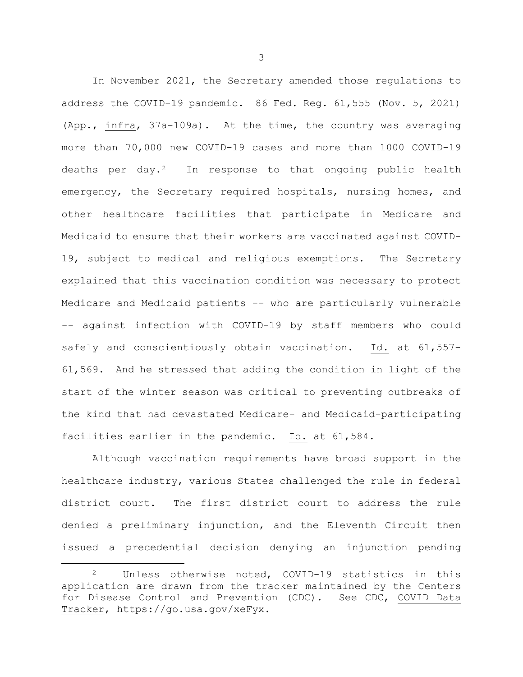In November 2021, the Secretary amended those regulations to address the COVID-19 pandemic. 86 Fed. Reg. 61,555 (Nov. 5, 2021) (App., infra, 37a-109a). At the time, the country was averaging more than 70,000 new COVID-19 cases and more than 1000 COVID-19 deaths per day.<sup>[2](#page-4-0)</sup> In response to that ongoing public health emergency, the Secretary required hospitals, nursing homes, and other healthcare facilities that participate in Medicare and Medicaid to ensure that their workers are vaccinated against COVID-19, subject to medical and religious exemptions. The Secretary explained that this vaccination condition was necessary to protect Medicare and Medicaid patients -- who are particularly vulnerable -- against infection with COVID-19 by staff members who could safely and conscientiously obtain vaccination. Id. at 61,557- 61,569. And he stressed that adding the condition in light of the start of the winter season was critical to preventing outbreaks of the kind that had devastated Medicare- and Medicaid-participating facilities earlier in the pandemic. Id. at 61,584.

Although vaccination requirements have broad support in the healthcare industry, various States challenged the rule in federal district court. The first district court to address the rule denied a preliminary injunction, and the Eleventh Circuit then issued a precedential decision denying an injunction pending

<span id="page-4-0"></span><sup>2</sup> Unless otherwise noted, COVID-19 statistics in this application are drawn from the tracker maintained by the Centers for Disease Control and Prevention (CDC). See CDC, COVID Data Tracker, https://go.usa.gov/xeFyx.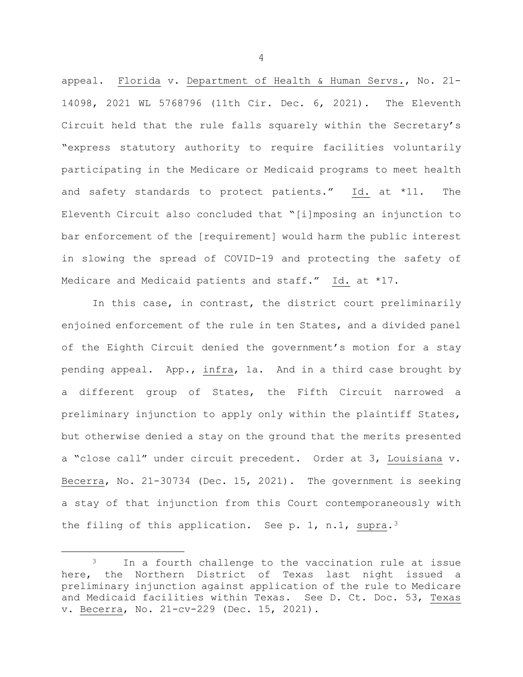appeal. Florida v. Department of Health & Human Servs., No. 21- 14098, 2021 WL 5768796 (11th Cir. Dec. 6, 2021). The Eleventh Circuit held that the rule falls squarely within the Secretary's "express statutory authority to require facilities voluntarily participating in the Medicare or Medicaid programs to meet health and safety standards to protect patients." Id. at \*11. The Eleventh Circuit also concluded that "[i]mposing an injunction to bar enforcement of the [requirement] would harm the public interest in slowing the spread of COVID-19 and protecting the safety of Medicare and Medicaid patients and staff." Id. at \*17.

In this case, in contrast, the district court preliminarily enjoined enforcement of the rule in ten States, and a divided panel of the Eighth Circuit denied the government's motion for a stay pending appeal. App., infra, 1a. And in a third case brought by a different group of States, the Fifth Circuit narrowed a preliminary injunction to apply only within the plaintiff States, but otherwise denied a stay on the ground that the merits presented a "close call" under circuit precedent. Order at 3, Louisiana v. Becerra, No. 21-30734 (Dec. 15, 2021). The government is seeking a stay of that injunction from this Court contemporaneously with the filing of this application. See p. 1, n.1, supra.<sup>[3](#page-5-0)</sup>

<span id="page-5-0"></span><sup>&</sup>lt;sup>3</sup> In a fourth challenge to the vaccination rule at issue here, the Northern District of Texas last night issued a preliminary injunction against application of the rule to Medicare and Medicaid facilities within Texas. See D. Ct. Doc. 53, Texas v. Becerra, No. 21-cv-229 (Dec. 15, 2021).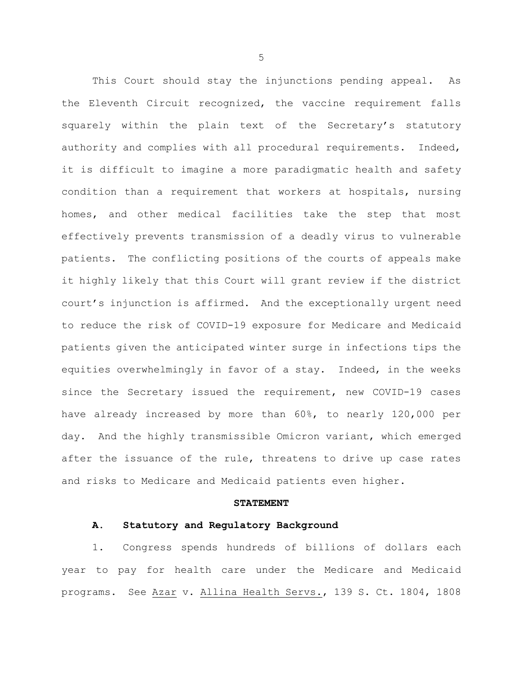This Court should stay the injunctions pending appeal. As the Eleventh Circuit recognized, the vaccine requirement falls squarely within the plain text of the Secretary's statutory authority and complies with all procedural requirements. Indeed, it is difficult to imagine a more paradigmatic health and safety condition than a requirement that workers at hospitals, nursing homes, and other medical facilities take the step that most effectively prevents transmission of a deadly virus to vulnerable patients. The conflicting positions of the courts of appeals make it highly likely that this Court will grant review if the district court's injunction is affirmed. And the exceptionally urgent need to reduce the risk of COVID-19 exposure for Medicare and Medicaid patients given the anticipated winter surge in infections tips the equities overwhelmingly in favor of a stay. Indeed, in the weeks since the Secretary issued the requirement, new COVID-19 cases have already increased by more than 60%, to nearly 120,000 per day. And the highly transmissible Omicron variant, which emerged after the issuance of the rule, threatens to drive up case rates and risks to Medicare and Medicaid patients even higher.

#### **STATEMENT**

#### **A. Statutory and Regulatory Background**

1. Congress spends hundreds of billions of dollars each year to pay for health care under the Medicare and Medicaid programs. See Azar v. Allina Health Servs., 139 S. Ct. 1804, 1808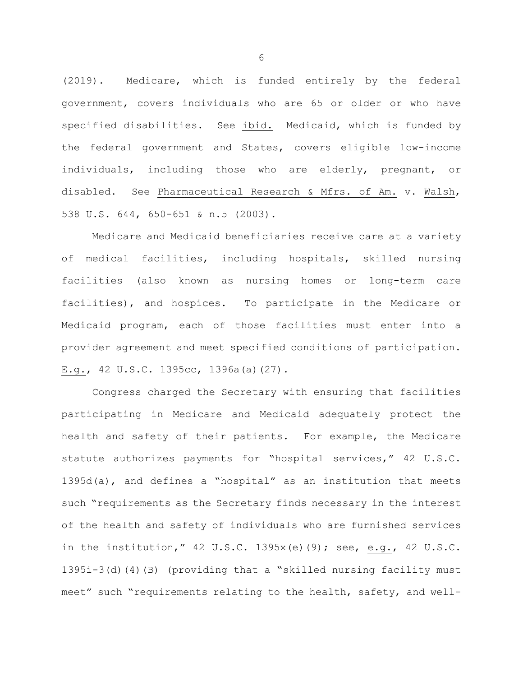(2019). Medicare, which is funded entirely by the federal government, covers individuals who are 65 or older or who have specified disabilities. See ibid. Medicaid, which is funded by the federal government and States, covers eligible low-income individuals, including those who are elderly, pregnant, or disabled. See Pharmaceutical Research & Mfrs. of Am. v. Walsh, 538 U.S. 644, 650-651 & n.5 (2003).

Medicare and Medicaid beneficiaries receive care at a variety of medical facilities, including hospitals, skilled nursing facilities (also known as nursing homes or long-term care facilities), and hospices. To participate in the Medicare or Medicaid program, each of those facilities must enter into a provider agreement and meet specified conditions of participation. E.g., 42 U.S.C. 1395cc, 1396a(a)(27).

Congress charged the Secretary with ensuring that facilities participating in Medicare and Medicaid adequately protect the health and safety of their patients. For example, the Medicare statute authorizes payments for "hospital services," 42 U.S.C. 1395d(a), and defines a "hospital" as an institution that meets such "requirements as the Secretary finds necessary in the interest of the health and safety of individuals who are furnished services in the institution," 42 U.S.C. 1395x(e)(9); see, e.g., 42 U.S.C. 1395i-3(d)(4)(B) (providing that a "skilled nursing facility must meet" such "requirements relating to the health, safety, and well-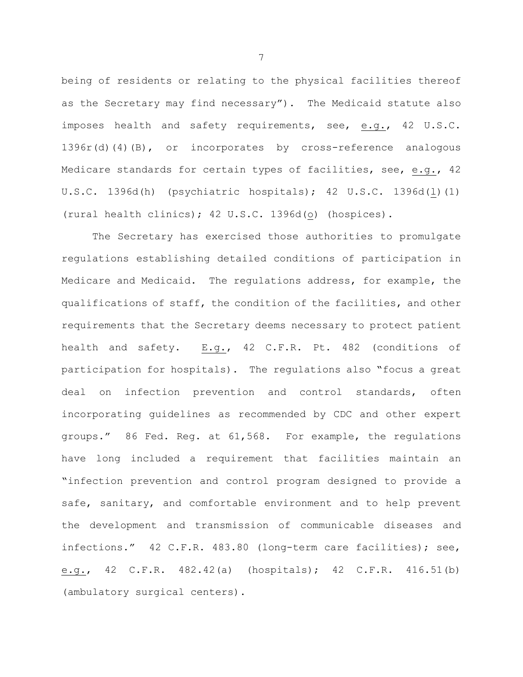being of residents or relating to the physical facilities thereof as the Secretary may find necessary"). The Medicaid statute also imposes health and safety requirements, see, e.g., 42 U.S.C. 1396r(d)(4)(B), or incorporates by cross-reference analogous Medicare standards for certain types of facilities, see, e.g., 42 U.S.C. 1396d(h) (psychiatric hospitals); 42 U.S.C. 1396d(l)(1) (rural health clinics); 42 U.S.C. 1396d(o) (hospices).

The Secretary has exercised those authorities to promulgate regulations establishing detailed conditions of participation in Medicare and Medicaid. The regulations address, for example, the qualifications of staff, the condition of the facilities, and other requirements that the Secretary deems necessary to protect patient health and safety. E.g., 42 C.F.R. Pt. 482 (conditions of participation for hospitals). The regulations also "focus a great deal on infection prevention and control standards, often incorporating guidelines as recommended by CDC and other expert groups." 86 Fed. Reg. at 61,568. For example, the regulations have long included a requirement that facilities maintain an "infection prevention and control program designed to provide a safe, sanitary, and comfortable environment and to help prevent the development and transmission of communicable diseases and infections." 42 C.F.R. 483.80 (long-term care facilities); see, e.g., 42 C.F.R. 482.42(a) (hospitals); 42 C.F.R. 416.51(b) (ambulatory surgical centers).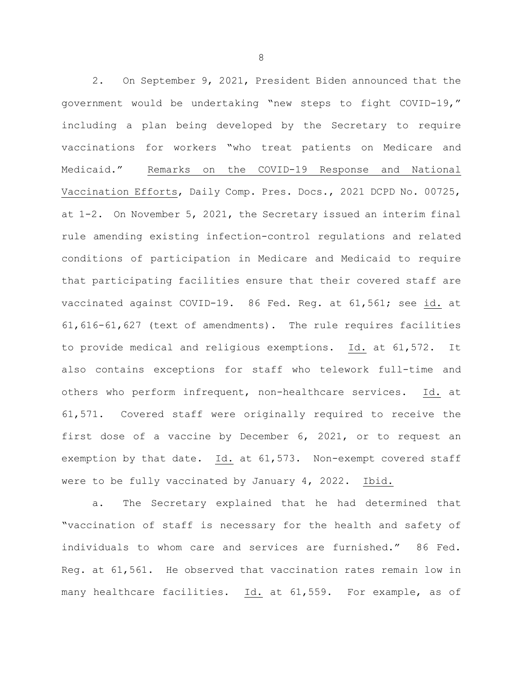2. On September 9, 2021, President Biden announced that the government would be undertaking "new steps to fight COVID-19," including a plan being developed by the Secretary to require vaccinations for workers "who treat patients on Medicare and Medicaid." Remarks on the COVID-19 Response and National Vaccination Efforts, Daily Comp. Pres. Docs., 2021 DCPD No. 00725, at 1-2. On November 5, 2021, the Secretary issued an interim final rule amending existing infection-control regulations and related conditions of participation in Medicare and Medicaid to require that participating facilities ensure that their covered staff are vaccinated against COVID-19. 86 Fed. Reg. at 61,561; see id. at 61,616-61,627 (text of amendments). The rule requires facilities to provide medical and religious exemptions. Id. at 61,572. It also contains exceptions for staff who telework full-time and others who perform infrequent, non-healthcare services. Id. at 61,571. Covered staff were originally required to receive the first dose of a vaccine by December 6, 2021, or to request an exemption by that date. Id. at 61,573. Non-exempt covered staff were to be fully vaccinated by January 4, 2022. Ibid.

a. The Secretary explained that he had determined that "vaccination of staff is necessary for the health and safety of individuals to whom care and services are furnished." 86 Fed. Reg. at 61,561. He observed that vaccination rates remain low in many healthcare facilities. Id. at 61,559. For example, as of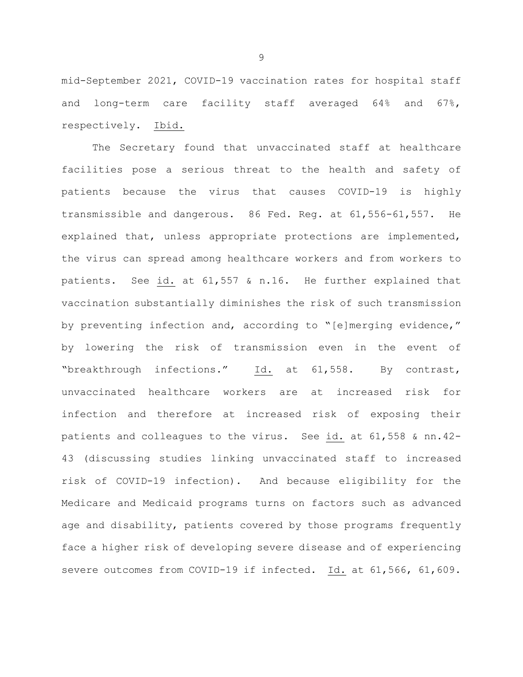mid-September 2021, COVID-19 vaccination rates for hospital staff and long-term care facility staff averaged 64% and 67%, respectively. Ibid.

The Secretary found that unvaccinated staff at healthcare facilities pose a serious threat to the health and safety of patients because the virus that causes COVID-19 is highly transmissible and dangerous. 86 Fed. Reg. at 61,556-61,557. He explained that, unless appropriate protections are implemented, the virus can spread among healthcare workers and from workers to patients. See id. at 61,557 & n.16. He further explained that vaccination substantially diminishes the risk of such transmission by preventing infection and, according to "[e]merging evidence," by lowering the risk of transmission even in the event of "breakthrough infections." Id. at 61,558. By contrast, unvaccinated healthcare workers are at increased risk for infection and therefore at increased risk of exposing their patients and colleagues to the virus. See id. at 61,558 & nn.42- 43 (discussing studies linking unvaccinated staff to increased risk of COVID-19 infection). And because eligibility for the Medicare and Medicaid programs turns on factors such as advanced age and disability, patients covered by those programs frequently face a higher risk of developing severe disease and of experiencing severe outcomes from COVID-19 if infected. Id. at 61,566, 61,609.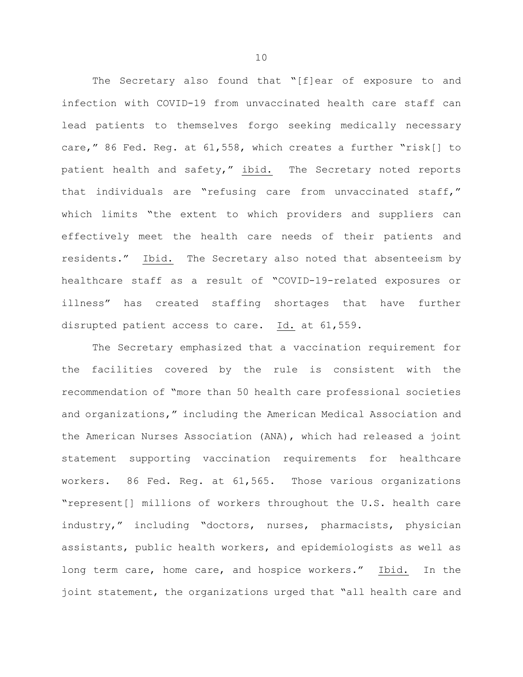The Secretary also found that "[f]ear of exposure to and infection with COVID-19 from unvaccinated health care staff can lead patients to themselves forgo seeking medically necessary care," 86 Fed. Reg. at 61,558, which creates a further "risk[] to patient health and safety," ibid. The Secretary noted reports that individuals are "refusing care from unvaccinated staff," which limits "the extent to which providers and suppliers can effectively meet the health care needs of their patients and residents." Ibid. The Secretary also noted that absenteeism by healthcare staff as a result of "COVID-19-related exposures or illness" has created staffing shortages that have further disrupted patient access to care. Id. at 61,559.

The Secretary emphasized that a vaccination requirement for the facilities covered by the rule is consistent with the recommendation of "more than 50 health care professional societies and organizations," including the American Medical Association and the American Nurses Association (ANA), which had released a joint statement supporting vaccination requirements for healthcare workers. 86 Fed. Reg. at 61,565. Those various organizations "represent[] millions of workers throughout the U.S. health care industry," including "doctors, nurses, pharmacists, physician assistants, public health workers, and epidemiologists as well as long term care, home care, and hospice workers." Ibid. In the joint statement, the organizations urged that "all health care and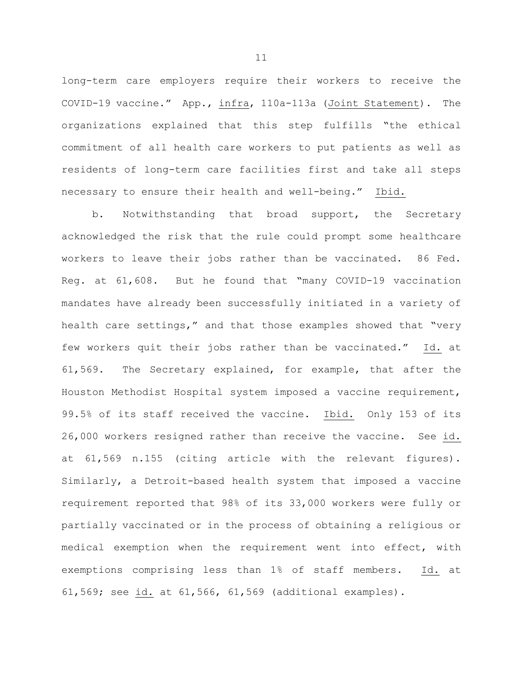long-term care employers require their workers to receive the COVID-19 vaccine." App., infra, 110a-113a (Joint Statement). The organizations explained that this step fulfills "the ethical commitment of all health care workers to put patients as well as residents of long-term care facilities first and take all steps necessary to ensure their health and well-being." Ibid.

b. Notwithstanding that broad support, the Secretary acknowledged the risk that the rule could prompt some healthcare workers to leave their jobs rather than be vaccinated. 86 Fed. Reg. at 61,608. But he found that "many COVID-19 vaccination mandates have already been successfully initiated in a variety of health care settings," and that those examples showed that "very few workers quit their jobs rather than be vaccinated." Id. at 61,569. The Secretary explained, for example, that after the Houston Methodist Hospital system imposed a vaccine requirement, 99.5% of its staff received the vaccine. Ibid. Only 153 of its 26,000 workers resigned rather than receive the vaccine. See id. at 61,569 n.155 (citing article with the relevant figures). Similarly, a Detroit-based health system that imposed a vaccine requirement reported that 98% of its 33,000 workers were fully or partially vaccinated or in the process of obtaining a religious or medical exemption when the requirement went into effect, with exemptions comprising less than 1% of staff members. Id. at 61,569; see id. at 61,566, 61,569 (additional examples).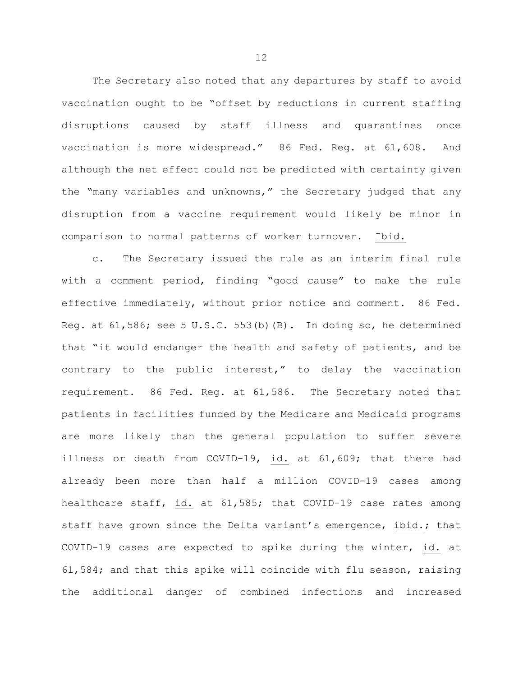The Secretary also noted that any departures by staff to avoid vaccination ought to be "offset by reductions in current staffing disruptions caused by staff illness and quarantines once vaccination is more widespread." 86 Fed. Reg. at 61,608. And although the net effect could not be predicted with certainty given the "many variables and unknowns," the Secretary judged that any disruption from a vaccine requirement would likely be minor in comparison to normal patterns of worker turnover. Ibid.

c. The Secretary issued the rule as an interim final rule with a comment period, finding "good cause" to make the rule effective immediately, without prior notice and comment. 86 Fed. Reg. at 61,586; see 5 U.S.C. 553(b)(B). In doing so, he determined that "it would endanger the health and safety of patients, and be contrary to the public interest," to delay the vaccination requirement. 86 Fed. Reg. at 61,586. The Secretary noted that patients in facilities funded by the Medicare and Medicaid programs are more likely than the general population to suffer severe illness or death from COVID-19, id. at 61,609; that there had already been more than half a million COVID-19 cases among healthcare staff, id. at 61,585; that COVID-19 case rates among staff have grown since the Delta variant's emergence, ibid.; that COVID-19 cases are expected to spike during the winter, id. at 61,584; and that this spike will coincide with flu season, raising the additional danger of combined infections and increased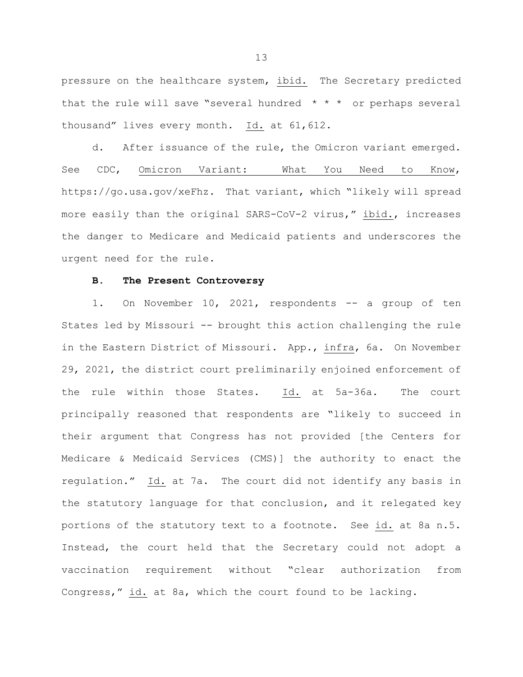pressure on the healthcare system, ibid. The Secretary predicted that the rule will save "several hundred  $* * *$  or perhaps several thousand" lives every month. Id. at 61,612.

d. After issuance of the rule, the Omicron variant emerged. See CDC, Omicron Variant: What You Need to Know, https://go.usa.gov/xeFhz. That variant, which "likely will spread more easily than the original SARS-CoV-2 virus," ibid., increases the danger to Medicare and Medicaid patients and underscores the urgent need for the rule.

# **B. The Present Controversy**

1. On November 10, 2021, respondents -- a group of ten States led by Missouri -- brought this action challenging the rule in the Eastern District of Missouri. App., infra, 6a. On November 29, 2021, the district court preliminarily enjoined enforcement of the rule within those States. Id. at 5a-36a. The court principally reasoned that respondents are "likely to succeed in their argument that Congress has not provided [the Centers for Medicare & Medicaid Services (CMS)] the authority to enact the regulation." Id. at 7a. The court did not identify any basis in the statutory language for that conclusion, and it relegated key portions of the statutory text to a footnote. See id. at 8a n.5. Instead, the court held that the Secretary could not adopt a vaccination requirement without "clear authorization from Congress," id. at 8a, which the court found to be lacking.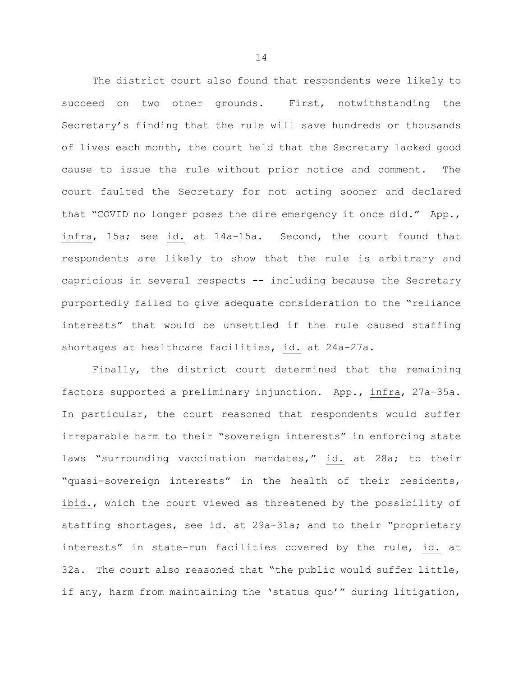The district court also found that respondents were likely to succeed on two other grounds. First, notwithstanding the Secretary's finding that the rule will save hundreds or thousands of lives each month, the court held that the Secretary lacked good cause to issue the rule without prior notice and comment. The court faulted the Secretary for not acting sooner and declared that "COVID no longer poses the dire emergency it once did." App., infra, 15a; see id. at 14a-15a. Second, the court found that respondents are likely to show that the rule is arbitrary and capricious in several respects -- including because the Secretary purportedly failed to give adequate consideration to the "reliance interests" that would be unsettled if the rule caused staffing shortages at healthcare facilities, id. at 24a-27a.

Finally, the district court determined that the remaining factors supported a preliminary injunction. App., infra, 27a-35a. In particular, the court reasoned that respondents would suffer irreparable harm to their "sovereign interests" in enforcing state laws "surrounding vaccination mandates," id. at 28a; to their "quasi-sovereign interests" in the health of their residents, ibid., which the court viewed as threatened by the possibility of staffing shortages, see id. at 29a-31a; and to their "proprietary interests" in state-run facilities covered by the rule, id. at 32a. The court also reasoned that "the public would suffer little, if any, harm from maintaining the 'status quo'" during litigation,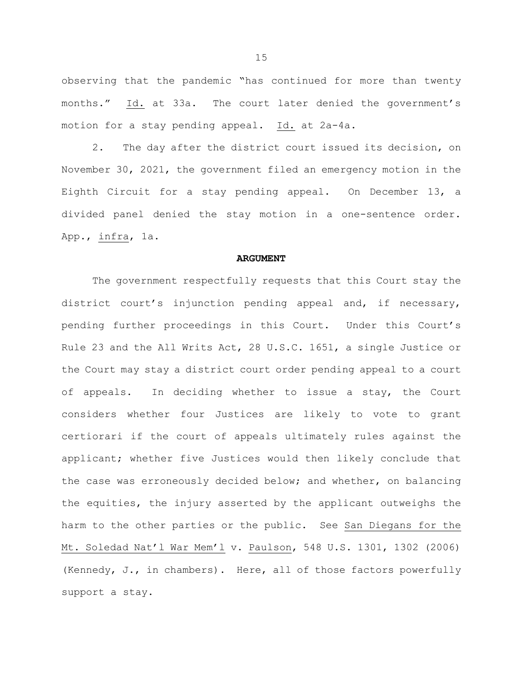observing that the pandemic "has continued for more than twenty months." Id. at 33a. The court later denied the government's motion for a stay pending appeal. Id. at 2a-4a.

2. The day after the district court issued its decision, on November 30, 2021, the government filed an emergency motion in the Eighth Circuit for a stay pending appeal. On December 13, a divided panel denied the stay motion in a one-sentence order. App., infra, 1a.

### **ARGUMENT**

The government respectfully requests that this Court stay the district court's injunction pending appeal and, if necessary, pending further proceedings in this Court. Under this Court's Rule 23 and the All Writs Act, 28 U.S.C. 1651, a single Justice or the Court may stay a district court order pending appeal to a court of appeals. In deciding whether to issue a stay, the Court considers whether four Justices are likely to vote to grant certiorari if the court of appeals ultimately rules against the applicant; whether five Justices would then likely conclude that the case was erroneously decided below; and whether, on balancing the equities, the injury asserted by the applicant outweighs the harm to the other parties or the public. See San Diegans for the Mt. Soledad Nat'l War Mem'l v. Paulson, 548 U.S. 1301, 1302 (2006) (Kennedy, J., in chambers). Here, all of those factors powerfully support a stay.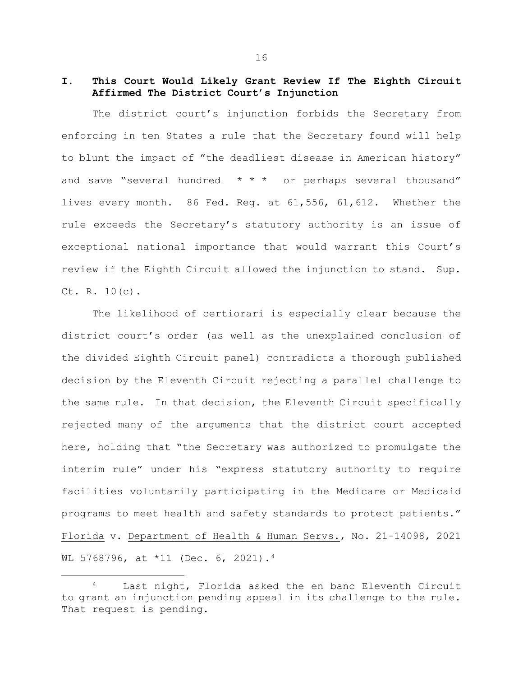# **I. This Court Would Likely Grant Review If The Eighth Circuit Affirmed The District Court's Injunction**

The district court's injunction forbids the Secretary from enforcing in ten States a rule that the Secretary found will help to blunt the impact of "the deadliest disease in American history" and save "several hundred \* \* \* or perhaps several thousand" lives every month. 86 Fed. Reg. at 61,556, 61,612. Whether the rule exceeds the Secretary's statutory authority is an issue of exceptional national importance that would warrant this Court's review if the Eighth Circuit allowed the injunction to stand. Sup. Ct. R. 10(c).

The likelihood of certiorari is especially clear because the district court's order (as well as the unexplained conclusion of the divided Eighth Circuit panel) contradicts a thorough published decision by the Eleventh Circuit rejecting a parallel challenge to the same rule. In that decision, the Eleventh Circuit specifically rejected many of the arguments that the district court accepted here, holding that "the Secretary was authorized to promulgate the interim rule" under his "express statutory authority to require facilities voluntarily participating in the Medicare or Medicaid programs to meet health and safety standards to protect patients." Florida v. Department of Health & Human Servs., No. 21-14098, 2021 WL 5768796, at \*11 (Dec. 6, 2021).[4](#page-17-0)

<span id="page-17-0"></span>Last night, Florida asked the en banc Eleventh Circuit to grant an injunction pending appeal in its challenge to the rule. That request is pending.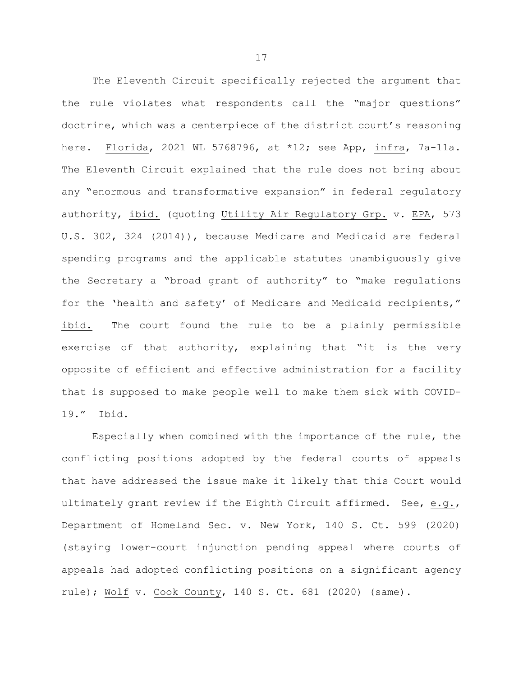The Eleventh Circuit specifically rejected the argument that the rule violates what respondents call the "major questions" doctrine, which was a centerpiece of the district court's reasoning here. Florida, 2021 WL 5768796, at \*12; see App, infra, 7a-11a. The Eleventh Circuit explained that the rule does not bring about any "enormous and transformative expansion" in federal regulatory authority, ibid. (quoting Utility Air Regulatory Grp. v. EPA, 573 U.S. 302, 324 (2014)), because Medicare and Medicaid are federal spending programs and the applicable statutes unambiguously give the Secretary a "broad grant of authority" to "make regulations for the 'health and safety' of Medicare and Medicaid recipients," ibid. The court found the rule to be a plainly permissible exercise of that authority, explaining that "it is the very opposite of efficient and effective administration for a facility that is supposed to make people well to make them sick with COVID-19." Ibid.

Especially when combined with the importance of the rule, the conflicting positions adopted by the federal courts of appeals that have addressed the issue make it likely that this Court would ultimately grant review if the Eighth Circuit affirmed. See, e.g., Department of Homeland Sec. v. New York, 140 S. Ct. 599 (2020) (staying lower-court injunction pending appeal where courts of appeals had adopted conflicting positions on a significant agency rule); Wolf v. Cook County, 140 S. Ct. 681 (2020) (same).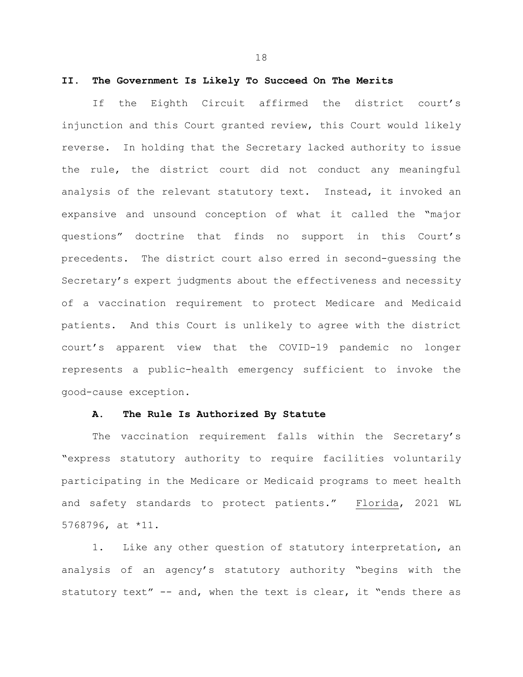# **II. The Government Is Likely To Succeed On The Merits**

If the Eighth Circuit affirmed the district court's injunction and this Court granted review, this Court would likely reverse. In holding that the Secretary lacked authority to issue the rule, the district court did not conduct any meaningful analysis of the relevant statutory text. Instead, it invoked an expansive and unsound conception of what it called the "major questions" doctrine that finds no support in this Court's precedents. The district court also erred in second-guessing the Secretary's expert judgments about the effectiveness and necessity of a vaccination requirement to protect Medicare and Medicaid patients. And this Court is unlikely to agree with the district court's apparent view that the COVID-19 pandemic no longer represents a public-health emergency sufficient to invoke the good-cause exception.

### **A. The Rule Is Authorized By Statute**

The vaccination requirement falls within the Secretary's "express statutory authority to require facilities voluntarily participating in the Medicare or Medicaid programs to meet health and safety standards to protect patients." Florida, 2021 WL 5768796, at \*11.

1. Like any other question of statutory interpretation, an analysis of an agency's statutory authority "begins with the statutory text" -- and, when the text is clear, it "ends there as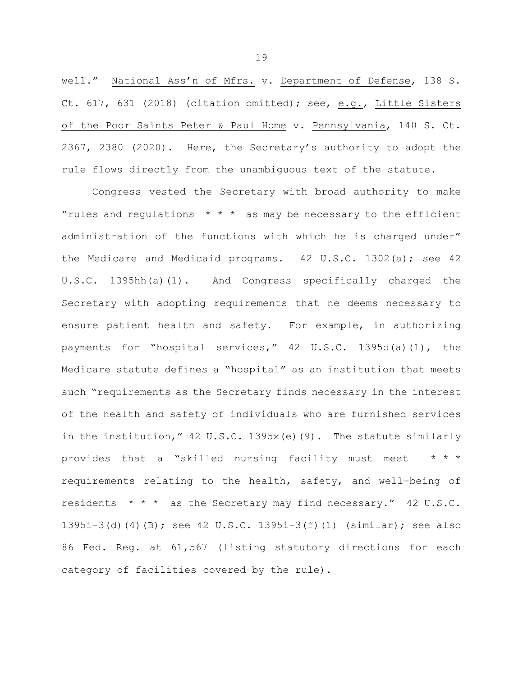well." National Ass'n of Mfrs. v. Department of Defense, 138 S. Ct. 617, 631 (2018) (citation omitted); see, e.g., Little Sisters of the Poor Saints Peter & Paul Home v. Pennsylvania, 140 S. Ct. 2367, 2380 (2020). Here, the Secretary's authority to adopt the rule flows directly from the unambiguous text of the statute.

Congress vested the Secretary with broad authority to make "rules and regulations  $* * *$  as may be necessary to the efficient administration of the functions with which he is charged under" the Medicare and Medicaid programs. 42 U.S.C. 1302(a); see 42 U.S.C. 1395hh(a)(1). And Congress specifically charged the Secretary with adopting requirements that he deems necessary to ensure patient health and safety. For example, in authorizing payments for "hospital services," 42 U.S.C. 1395d(a)(1), the Medicare statute defines a "hospital" as an institution that meets such "requirements as the Secretary finds necessary in the interest of the health and safety of individuals who are furnished services in the institution," 42 U.S.C. 1395x(e)(9). The statute similarly provides that a "skilled nursing facility must meet \* \* \* requirements relating to the health, safety, and well-being of residents \* \* \* as the Secretary may find necessary." 42 U.S.C. 1395i-3(d)(4)(B); see 42 U.S.C. 1395i-3(f)(1) (similar); see also 86 Fed. Reg. at 61,567 (listing statutory directions for each category of facilities covered by the rule).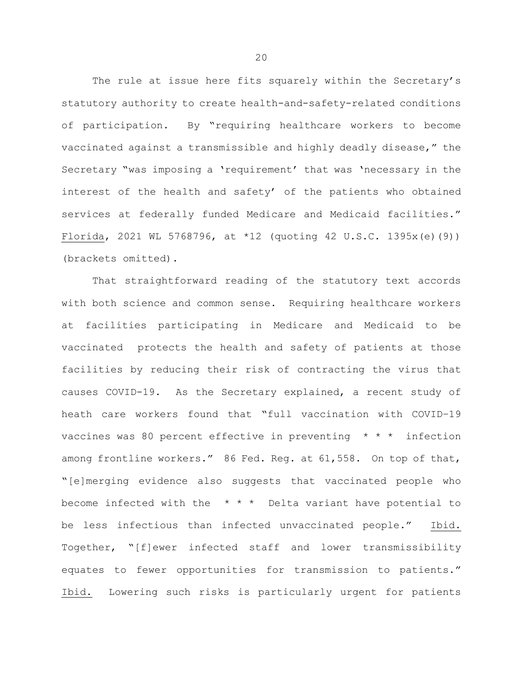The rule at issue here fits squarely within the Secretary's statutory authority to create health-and-safety-related conditions of participation. By "requiring healthcare workers to become vaccinated against a transmissible and highly deadly disease," the Secretary "was imposing a 'requirement' that was 'necessary in the interest of the health and safety' of the patients who obtained services at federally funded Medicare and Medicaid facilities." Florida, 2021 WL 5768796, at \*12 (quoting 42 U.S.C. 1395x(e)(9)) (brackets omitted).

That straightforward reading of the statutory text accords with both science and common sense. Requiring healthcare workers at facilities participating in Medicare and Medicaid to be vaccinated protects the health and safety of patients at those facilities by reducing their risk of contracting the virus that causes COVID-19. As the Secretary explained, a recent study of heath care workers found that "full vaccination with COVID–19 vaccines was 80 percent effective in preventing  $* * *$  infection among frontline workers." 86 Fed. Reg. at 61,558. On top of that, "[e]merging evidence also suggests that vaccinated people who become infected with the  $* * *$  Delta variant have potential to be less infectious than infected unvaccinated people." Ibid. Together, "[f]ewer infected staff and lower transmissibility equates to fewer opportunities for transmission to patients." Ibid. Lowering such risks is particularly urgent for patients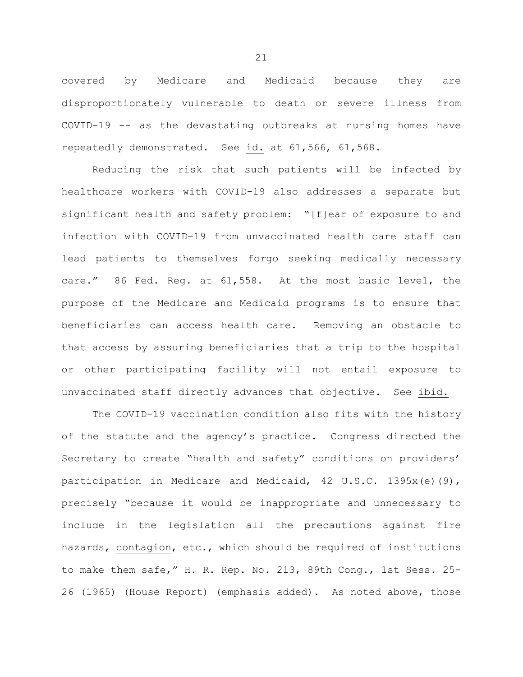covered by Medicare and Medicaid because they are disproportionately vulnerable to death or severe illness from COVID-19 -- as the devastating outbreaks at nursing homes have repeatedly demonstrated. See id. at 61,566, 61,568.

Reducing the risk that such patients will be infected by healthcare workers with COVID-19 also addresses a separate but significant health and safety problem: "[f]ear of exposure to and infection with COVID–19 from unvaccinated health care staff can lead patients to themselves forgo seeking medically necessary care." 86 Fed. Reg. at 61,558. At the most basic level, the purpose of the Medicare and Medicaid programs is to ensure that beneficiaries can access health care. Removing an obstacle to that access by assuring beneficiaries that a trip to the hospital or other participating facility will not entail exposure to unvaccinated staff directly advances that objective. See ibid.

The COVID-19 vaccination condition also fits with the history of the statute and the agency's practice. Congress directed the Secretary to create "health and safety" conditions on providers' participation in Medicare and Medicaid, 42 U.S.C. 1395x(e)(9), precisely "because it would be inappropriate and unnecessary to include in the legislation all the precautions against fire hazards, contagion, etc., which should be required of institutions to make them safe," H. R. Rep. No. 213, 89th Cong., 1st Sess. 25- 26 (1965) (House Report) (emphasis added). As noted above, those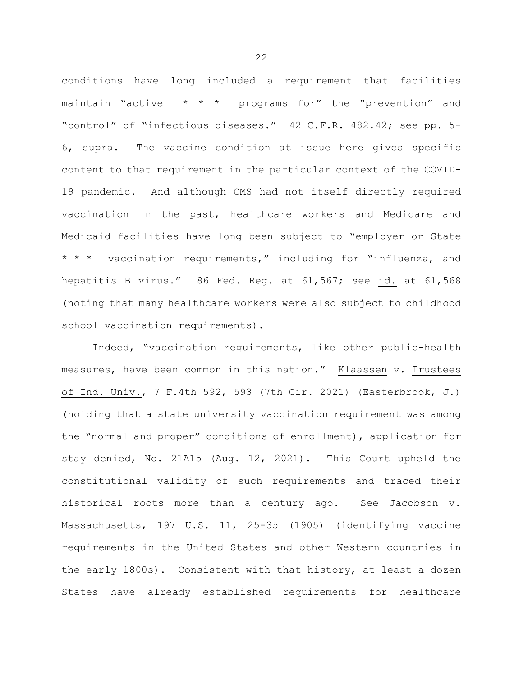conditions have long included a requirement that facilities maintain "active  $\star \star \star$  programs for" the "prevention" and "control" of "infectious diseases." 42 C.F.R. 482.42; see pp. 5- 6, supra. The vaccine condition at issue here gives specific content to that requirement in the particular context of the COVID-19 pandemic. And although CMS had not itself directly required vaccination in the past, healthcare workers and Medicare and Medicaid facilities have long been subject to "employer or State \* \* \* vaccination requirements," including for "influenza, and hepatitis B virus." 86 Fed. Reg. at 61,567; see id. at 61,568 (noting that many healthcare workers were also subject to childhood school vaccination requirements).

Indeed, "vaccination requirements, like other public-health measures, have been common in this nation." Klaassen v. Trustees of Ind. Univ., 7 F.4th 592, 593 (7th Cir. 2021) (Easterbrook, J.) (holding that a state university vaccination requirement was among the "normal and proper" conditions of enrollment), application for stay denied, No. 21A15 (Aug. 12, 2021). This Court upheld the constitutional validity of such requirements and traced their historical roots more than a century ago. See Jacobson v. Massachusetts, 197 U.S. 11, 25-35 (1905) (identifying vaccine requirements in the United States and other Western countries in the early 1800s). Consistent with that history, at least a dozen States have already established requirements for healthcare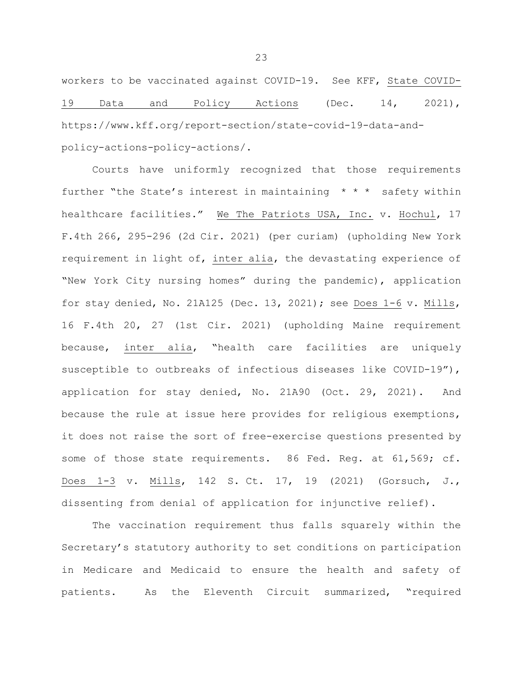workers to be vaccinated against COVID-19. See KFF, State COVID-19 Data and Policy Actions (Dec. 14, 2021), https://www.kff.org/report-section/state-covid-19-data-andpolicy-actions-policy-actions/.

Courts have uniformly recognized that those requirements further "the State's interest in maintaining  $* * *$  safety within healthcare facilities." We The Patriots USA, Inc. v. Hochul, 17 F.4th 266, 295-296 (2d Cir. 2021) (per curiam) (upholding New York requirement in light of, inter alia, the devastating experience of "New York City nursing homes" during the pandemic), application for stay denied, No. 21A125 (Dec. 13, 2021); see Does 1-6 v. Mills, 16 F.4th 20, 27 (1st Cir. 2021) (upholding Maine requirement because, inter alia, "health care facilities are uniquely susceptible to outbreaks of infectious diseases like COVID-19"), application for stay denied, No. 21A90 (Oct. 29, 2021). And because the rule at issue here provides for religious exemptions, it does not raise the sort of free-exercise questions presented by some of those state requirements. 86 Fed. Reg. at 61,569; cf. Does 1-3 v. Mills, 142 S. Ct. 17, 19 (2021) (Gorsuch, J., dissenting from denial of application for injunctive relief).

The vaccination requirement thus falls squarely within the Secretary's statutory authority to set conditions on participation in Medicare and Medicaid to ensure the health and safety of patients. As the Eleventh Circuit summarized, "required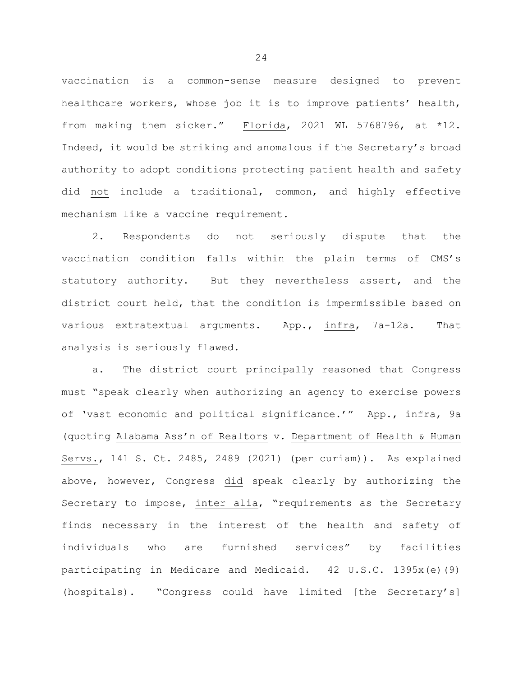vaccination is a common-sense measure designed to prevent healthcare workers, whose job it is to improve patients' health, from making them sicker." Florida, 2021 WL 5768796, at \*12. Indeed, it would be striking and anomalous if the Secretary's broad authority to adopt conditions protecting patient health and safety did not include a traditional, common, and highly effective mechanism like a vaccine requirement.

2. Respondents do not seriously dispute that the vaccination condition falls within the plain terms of CMS's statutory authority. But they nevertheless assert, and the district court held, that the condition is impermissible based on various extratextual arguments. App., infra, 7a-12a. That analysis is seriously flawed.

a. The district court principally reasoned that Congress must "speak clearly when authorizing an agency to exercise powers of 'vast economic and political significance.'" App., infra, 9a (quoting Alabama Ass'n of Realtors v. Department of Health & Human Servs., 141 S. Ct. 2485, 2489 (2021) (per curiam)). As explained above, however, Congress did speak clearly by authorizing the Secretary to impose, inter alia, "requirements as the Secretary finds necessary in the interest of the health and safety of individuals who are furnished services" by facilities participating in Medicare and Medicaid. 42 U.S.C. 1395x(e)(9) (hospitals). "Congress could have limited [the Secretary's]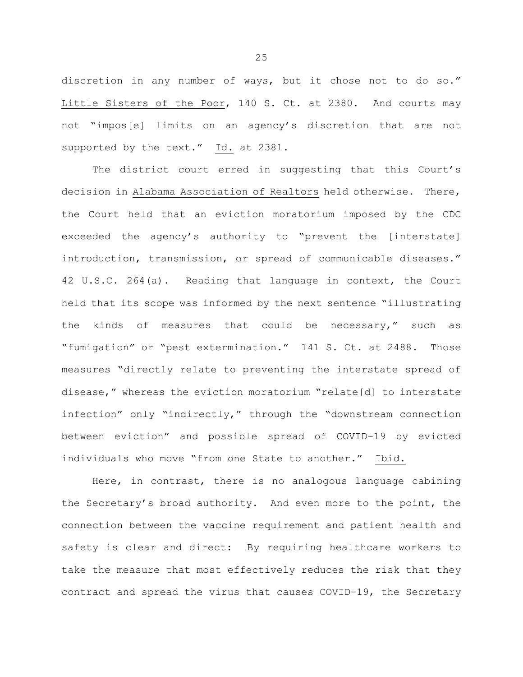discretion in any number of ways, but it chose not to do so." Little Sisters of the Poor, 140 S. Ct. at 2380. And courts may not "impos[e] limits on an agency's discretion that are not supported by the text." Id. at 2381.

The district court erred in suggesting that this Court's decision in Alabama Association of Realtors held otherwise. There, the Court held that an eviction moratorium imposed by the CDC exceeded the agency's authority to "prevent the [interstate] introduction, transmission, or spread of communicable diseases." 42 U.S.C. 264(a). Reading that language in context, the Court held that its scope was informed by the next sentence "illustrating the kinds of measures that could be necessary," such as "fumigation" or "pest extermination." 141 S. Ct. at 2488. Those measures "directly relate to preventing the interstate spread of disease," whereas the eviction moratorium "relate[d] to interstate infection" only "indirectly," through the "downstream connection between eviction" and possible spread of COVID-19 by evicted individuals who move "from one State to another." Ibid.

Here, in contrast, there is no analogous language cabining the Secretary's broad authority. And even more to the point, the connection between the vaccine requirement and patient health and safety is clear and direct: By requiring healthcare workers to take the measure that most effectively reduces the risk that they contract and spread the virus that causes COVID-19, the Secretary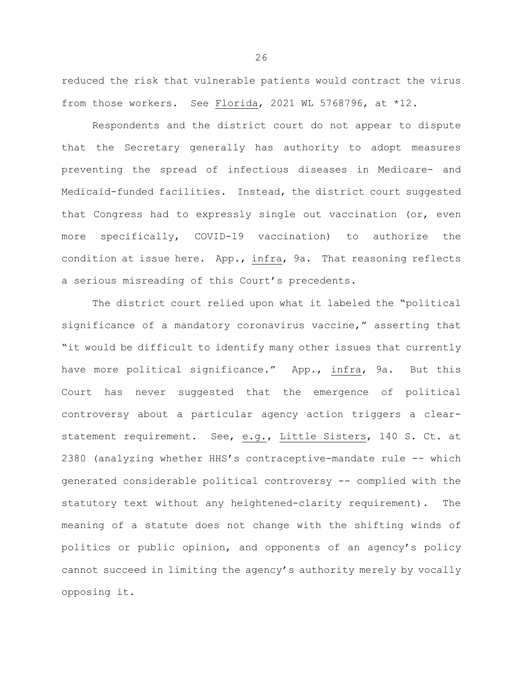reduced the risk that vulnerable patients would contract the virus from those workers. See Florida, 2021 WL 5768796, at \*12.

Respondents and the district court do not appear to dispute that the Secretary generally has authority to adopt measures preventing the spread of infectious diseases in Medicare- and Medicaid-funded facilities. Instead, the district court suggested that Congress had to expressly single out vaccination (or, even more specifically, COVID-19 vaccination) to authorize the condition at issue here. App., infra, 9a. That reasoning reflects a serious misreading of this Court's precedents.

The district court relied upon what it labeled the "political significance of a mandatory coronavirus vaccine," asserting that "it would be difficult to identify many other issues that currently have more political significance." App., infra, 9a. But this Court has never suggested that the emergence of political controversy about a particular agency action triggers a clearstatement requirement. See, e.g., Little Sisters, 140 S. Ct. at 2380 (analyzing whether HHS's contraceptive-mandate rule -- which generated considerable political controversy -- complied with the statutory text without any heightened-clarity requirement). The meaning of a statute does not change with the shifting winds of politics or public opinion, and opponents of an agency's policy cannot succeed in limiting the agency's authority merely by vocally opposing it.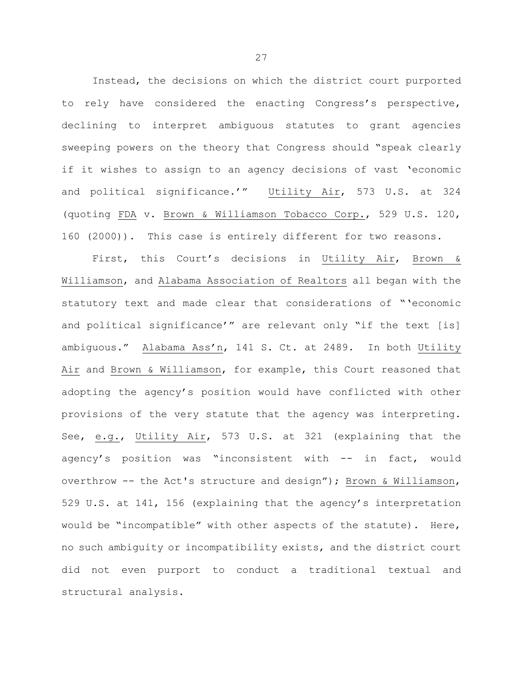Instead, the decisions on which the district court purported to rely have considered the enacting Congress's perspective, declining to interpret ambiguous statutes to grant agencies sweeping powers on the theory that Congress should "speak clearly if it wishes to assign to an agency decisions of vast 'economic and political significance.'" Utility Air, 573 U.S. at 324 (quoting FDA v. Brown & Williamson Tobacco Corp., 529 U.S. 120, 160 (2000)). This case is entirely different for two reasons.

First, this Court's decisions in Utility Air, Brown & Williamson, and Alabama Association of Realtors all began with the statutory text and made clear that considerations of "'economic and political significance'" are relevant only "if the text [is] ambiguous." Alabama Ass'n, 141 S. Ct. at 2489. In both Utility Air and Brown & Williamson, for example, this Court reasoned that adopting the agency's position would have conflicted with other provisions of the very statute that the agency was interpreting. See, e.g., Utility Air, 573 U.S. at 321 (explaining that the agency's position was "inconsistent with -- in fact, would overthrow -- the Act's structure and design"); Brown & Williamson, 529 U.S. at 141, 156 (explaining that the agency's interpretation would be "incompatible" with other aspects of the statute). Here, no such ambiguity or incompatibility exists, and the district court did not even purport to conduct a traditional textual and structural analysis.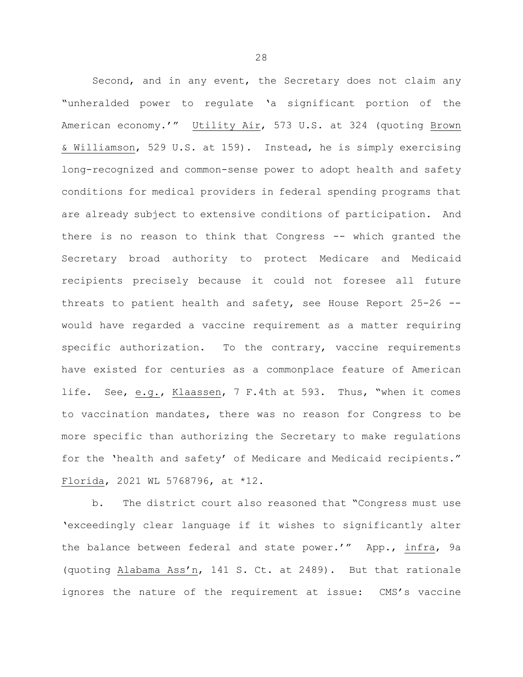Second, and in any event, the Secretary does not claim any "unheralded power to regulate 'a significant portion of the American economy.'" Utility Air, 573 U.S. at 324 (quoting Brown & Williamson, 529 U.S. at 159). Instead, he is simply exercising long-recognized and common-sense power to adopt health and safety conditions for medical providers in federal spending programs that are already subject to extensive conditions of participation. And there is no reason to think that Congress -- which granted the Secretary broad authority to protect Medicare and Medicaid recipients precisely because it could not foresee all future threats to patient health and safety, see House Report 25-26 - would have regarded a vaccine requirement as a matter requiring specific authorization. To the contrary, vaccine requirements have existed for centuries as a commonplace feature of American life. See, e.g., Klaassen, 7 F.4th at 593. Thus, "when it comes to vaccination mandates, there was no reason for Congress to be more specific than authorizing the Secretary to make regulations for the 'health and safety' of Medicare and Medicaid recipients." Florida, 2021 WL 5768796, at \*12.

b. The district court also reasoned that "Congress must use 'exceedingly clear language if it wishes to significantly alter the balance between federal and state power.'" App., infra, 9a (quoting Alabama Ass'n, 141 S. Ct. at 2489). But that rationale ignores the nature of the requirement at issue: CMS's vaccine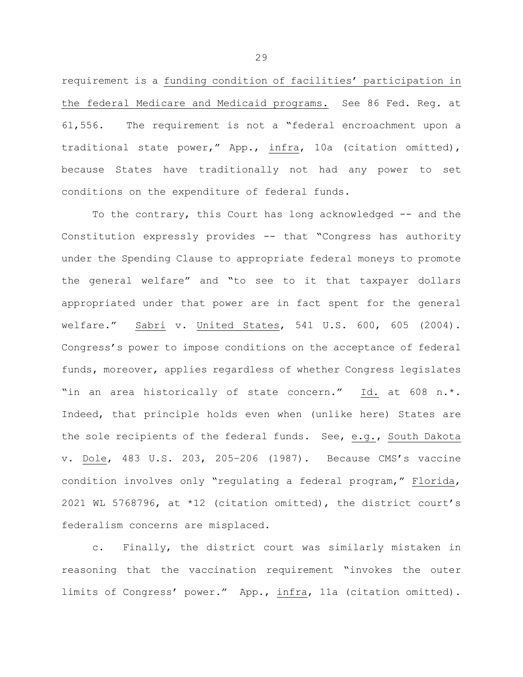requirement is a funding condition of facilities' participation in the federal Medicare and Medicaid programs. See 86 Fed. Reg. at 61,556. The requirement is not a "federal encroachment upon a traditional state power," App., infra, 10a (citation omitted), because States have traditionally not had any power to set conditions on the expenditure of federal funds.

To the contrary, this Court has long acknowledged -- and the Constitution expressly provides -- that "Congress has authority under the Spending Clause to appropriate federal moneys to promote the general welfare" and "to see to it that taxpayer dollars appropriated under that power are in fact spent for the general welfare." Sabri v. United States, 541 U.S. 600, 605 (2004). Congress's power to impose conditions on the acceptance of federal funds, moreover, applies regardless of whether Congress legislates "in an area historically of state concern." Id. at 608 n.\*. Indeed, that principle holds even when (unlike here) States are the sole recipients of the federal funds. See, e.g., South Dakota v. Dole, 483 U.S. 203, 205–206 (1987). Because CMS's vaccine condition involves only "regulating a federal program," Florida, 2021 WL 5768796, at \*12 (citation omitted), the district court's federalism concerns are misplaced.

c. Finally, the district court was similarly mistaken in reasoning that the vaccination requirement "invokes the outer limits of Congress' power." App., infra, 11a (citation omitted).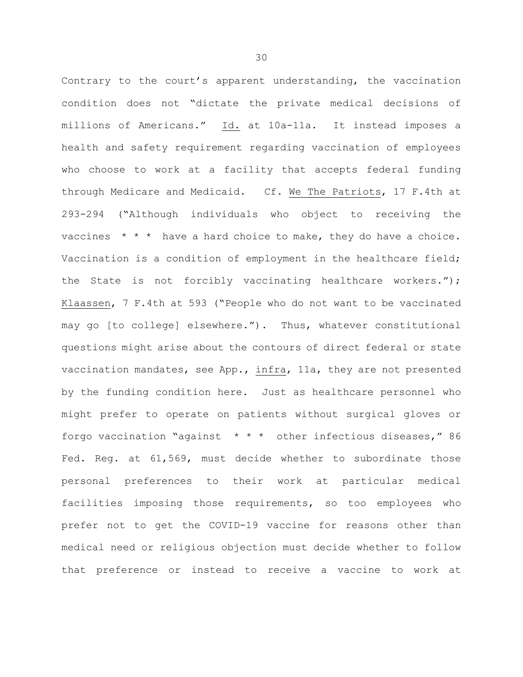Contrary to the court's apparent understanding, the vaccination condition does not "dictate the private medical decisions of millions of Americans." Id. at 10a-11a. It instead imposes a health and safety requirement regarding vaccination of employees who choose to work at a facility that accepts federal funding through Medicare and Medicaid. Cf. We The Patriots, 17 F.4th at 293-294 ("Although individuals who object to receiving the vaccines  $* * *$  have a hard choice to make, they do have a choice. Vaccination is a condition of employment in the healthcare field; the State is not forcibly vaccinating healthcare workers."); Klaassen, 7 F.4th at 593 ("People who do not want to be vaccinated may go [to college] elsewhere."). Thus, whatever constitutional questions might arise about the contours of direct federal or state vaccination mandates, see App., infra, 11a, they are not presented by the funding condition here. Just as healthcare personnel who might prefer to operate on patients without surgical gloves or forgo vaccination "against \* \* \* other infectious diseases," 86 Fed. Reg. at 61,569, must decide whether to subordinate those personal preferences to their work at particular medical facilities imposing those requirements, so too employees who prefer not to get the COVID-19 vaccine for reasons other than medical need or religious objection must decide whether to follow that preference or instead to receive a vaccine to work at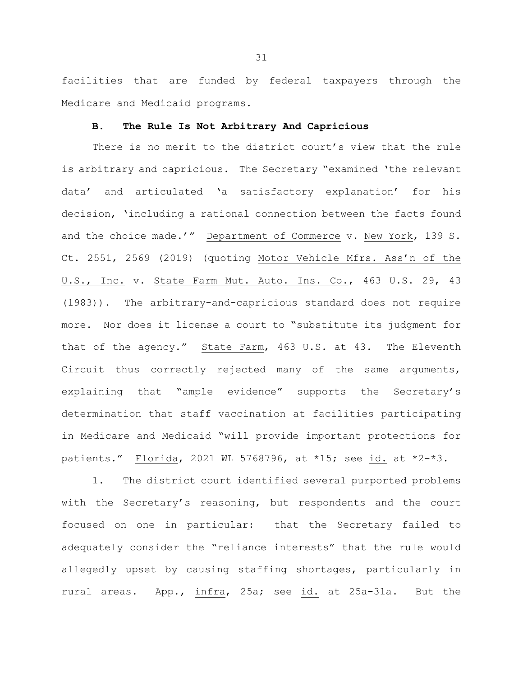facilities that are funded by federal taxpayers through the Medicare and Medicaid programs.

### **B. The Rule Is Not Arbitrary And Capricious**

There is no merit to the district court's view that the rule is arbitrary and capricious. The Secretary "examined 'the relevant data' and articulated 'a satisfactory explanation' for his decision, 'including a rational connection between the facts found and the choice made.'" Department of Commerce v. New York, 139 S. Ct. 2551, 2569 (2019) (quoting Motor Vehicle Mfrs. Ass'n of the U.S., Inc. v. State Farm Mut. Auto. Ins. Co., 463 U.S. 29, 43 (1983)). The arbitrary-and-capricious standard does not require more. Nor does it license a court to "substitute its judgment for that of the agency." State Farm, 463 U.S. at 43. The Eleventh Circuit thus correctly rejected many of the same arguments, explaining that "ample evidence" supports the Secretary's determination that staff vaccination at facilities participating in Medicare and Medicaid "will provide important protections for patients." Florida, 2021 WL 5768796, at \*15; see id. at \*2-\*3.

1. The district court identified several purported problems with the Secretary's reasoning, but respondents and the court focused on one in particular: that the Secretary failed to adequately consider the "reliance interests" that the rule would allegedly upset by causing staffing shortages, particularly in rural areas. App., infra, 25a; see id. at 25a-31a. But the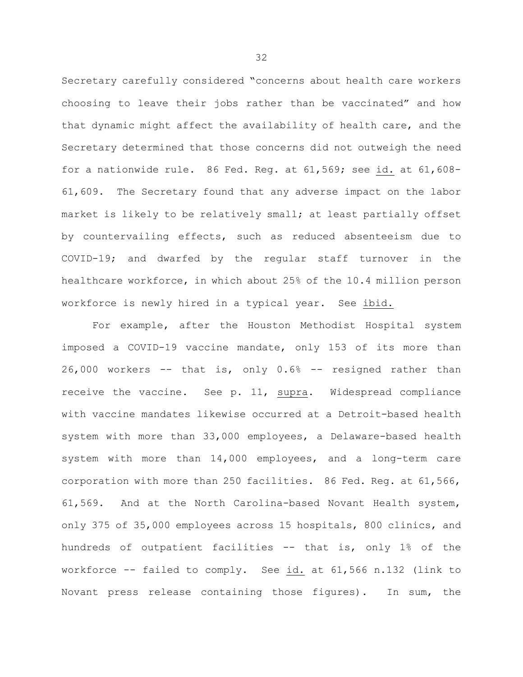Secretary carefully considered "concerns about health care workers choosing to leave their jobs rather than be vaccinated" and how that dynamic might affect the availability of health care, and the Secretary determined that those concerns did not outweigh the need for a nationwide rule. 86 Fed. Reg. at 61,569; see id. at 61,608- 61,609. The Secretary found that any adverse impact on the labor market is likely to be relatively small; at least partially offset by countervailing effects, such as reduced absenteeism due to COVID-19; and dwarfed by the regular staff turnover in the healthcare workforce, in which about 25% of the 10.4 million person workforce is newly hired in a typical year. See ibid.

For example, after the Houston Methodist Hospital system imposed a COVID-19 vaccine mandate, only 153 of its more than 26,000 workers -- that is, only 0.6% -- resigned rather than receive the vaccine. See p. 11, supra. Widespread compliance with vaccine mandates likewise occurred at a Detroit-based health system with more than 33,000 employees, a Delaware-based health system with more than 14,000 employees, and a long-term care corporation with more than 250 facilities. 86 Fed. Reg. at 61,566, 61,569. And at the North Carolina-based Novant Health system, only 375 of 35,000 employees across 15 hospitals, 800 clinics, and hundreds of outpatient facilities -- that is, only 1% of the workforce -- failed to comply. See id. at 61,566 n.132 (link to Novant press release containing those figures). In sum, the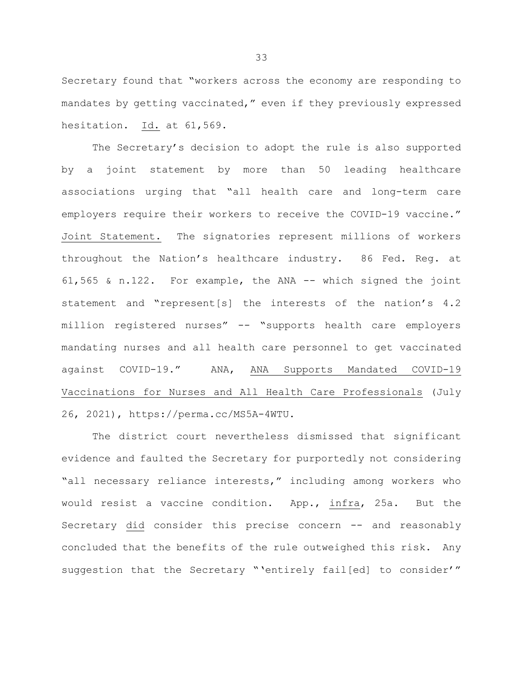Secretary found that "workers across the economy are responding to mandates by getting vaccinated," even if they previously expressed hesitation. Id. at 61,569.

The Secretary's decision to adopt the rule is also supported by a joint statement by more than 50 leading healthcare associations urging that "all health care and long-term care employers require their workers to receive the COVID-19 vaccine." Joint Statement. The signatories represent millions of workers throughout the Nation's healthcare industry. 86 Fed. Reg. at 61,565 & n.122. For example, the ANA -- which signed the joint statement and "represent[s] the interests of the nation's 4.2 million registered nurses" -- "supports health care employers mandating nurses and all health care personnel to get vaccinated against COVID-19." ANA, ANA Supports Mandated COVID-19 Vaccinations for Nurses and All Health Care Professionals (July 26, 2021), https://perma.cc/MS5A-4WTU.

The district court nevertheless dismissed that significant evidence and faulted the Secretary for purportedly not considering "all necessary reliance interests," including among workers who would resist a vaccine condition. App., infra, 25a. But the Secretary did consider this precise concern -- and reasonably concluded that the benefits of the rule outweighed this risk. Any suggestion that the Secretary "'entirely fail[ed] to consider'"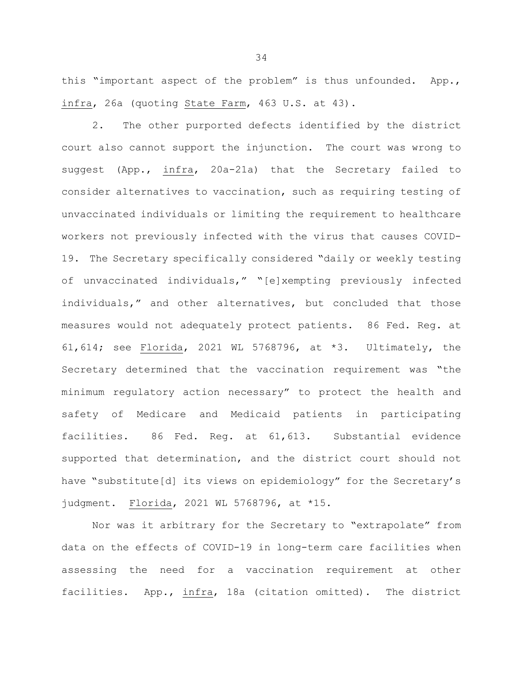this "important aspect of the problem" is thus unfounded. App., infra, 26a (quoting State Farm, 463 U.S. at 43).

2. The other purported defects identified by the district court also cannot support the injunction. The court was wrong to suggest (App., infra, 20a-21a) that the Secretary failed to consider alternatives to vaccination, such as requiring testing of unvaccinated individuals or limiting the requirement to healthcare workers not previously infected with the virus that causes COVID-19. The Secretary specifically considered "daily or weekly testing of unvaccinated individuals," "[e]xempting previously infected individuals," and other alternatives, but concluded that those measures would not adequately protect patients. 86 Fed. Reg. at 61,614; see Florida, 2021 WL 5768796, at \*3. Ultimately, the Secretary determined that the vaccination requirement was "the minimum regulatory action necessary" to protect the health and safety of Medicare and Medicaid patients in participating facilities. 86 Fed. Reg. at 61,613. Substantial evidence supported that determination, and the district court should not have "substitute[d] its views on epidemiology" for the Secretary's judgment. Florida, 2021 WL 5768796, at \*15.

Nor was it arbitrary for the Secretary to "extrapolate" from data on the effects of COVID-19 in long-term care facilities when assessing the need for a vaccination requirement at other facilities. App., infra, 18a (citation omitted). The district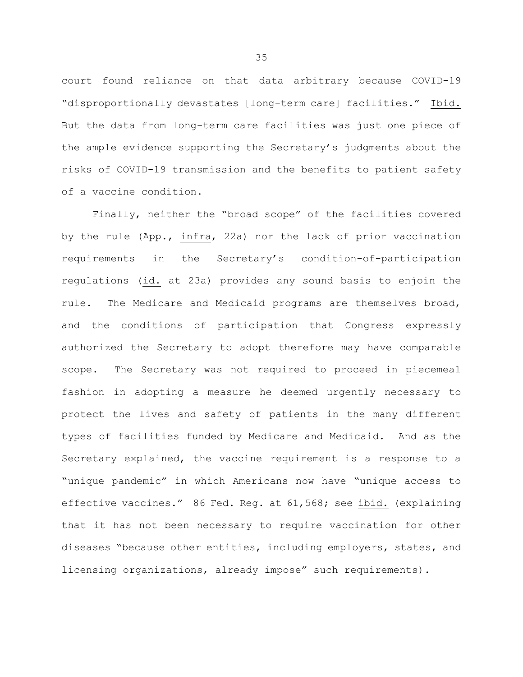court found reliance on that data arbitrary because COVID-19 "disproportionally devastates [long-term care] facilities." Ibid. But the data from long-term care facilities was just one piece of the ample evidence supporting the Secretary's judgments about the risks of COVID-19 transmission and the benefits to patient safety of a vaccine condition.

Finally, neither the "broad scope" of the facilities covered by the rule (App., infra, 22a) nor the lack of prior vaccination requirements in the Secretary's condition-of-participation regulations (id. at 23a) provides any sound basis to enjoin the rule. The Medicare and Medicaid programs are themselves broad, and the conditions of participation that Congress expressly authorized the Secretary to adopt therefore may have comparable scope. The Secretary was not required to proceed in piecemeal fashion in adopting a measure he deemed urgently necessary to protect the lives and safety of patients in the many different types of facilities funded by Medicare and Medicaid. And as the Secretary explained, the vaccine requirement is a response to a "unique pandemic" in which Americans now have "unique access to effective vaccines." 86 Fed. Reg. at 61,568; see ibid. (explaining that it has not been necessary to require vaccination for other diseases "because other entities, including employers, states, and licensing organizations, already impose" such requirements).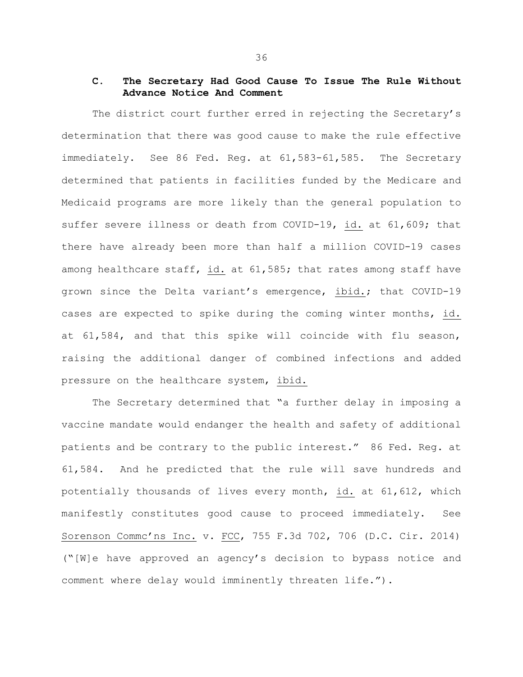# **C. The Secretary Had Good Cause To Issue The Rule Without Advance Notice And Comment**

The district court further erred in rejecting the Secretary's determination that there was good cause to make the rule effective immediately. See 86 Fed. Reg. at 61,583-61,585. The Secretary determined that patients in facilities funded by the Medicare and Medicaid programs are more likely than the general population to suffer severe illness or death from COVID-19, id. at 61,609; that there have already been more than half a million COVID-19 cases among healthcare staff, id. at 61,585; that rates among staff have grown since the Delta variant's emergence, ibid.; that COVID-19 cases are expected to spike during the coming winter months, id. at 61,584, and that this spike will coincide with flu season, raising the additional danger of combined infections and added pressure on the healthcare system, ibid.

The Secretary determined that "a further delay in imposing a vaccine mandate would endanger the health and safety of additional patients and be contrary to the public interest." 86 Fed. Reg. at 61,584. And he predicted that the rule will save hundreds and potentially thousands of lives every month, id. at 61,612, which manifestly constitutes good cause to proceed immediately. See Sorenson Commc'ns Inc. v. FCC, 755 F.3d 702, 706 (D.C. Cir. 2014) ("[W]e have approved an agency's decision to bypass notice and comment where delay would imminently threaten life.").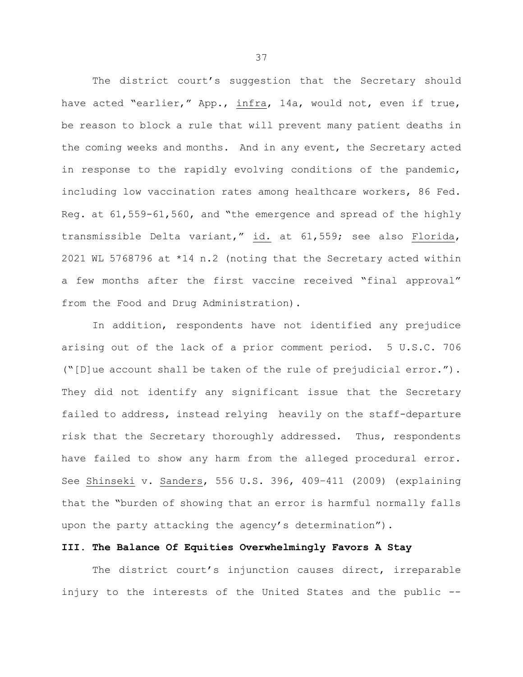The district court's suggestion that the Secretary should have acted "earlier," App., infra, 14a, would not, even if true, be reason to block a rule that will prevent many patient deaths in the coming weeks and months. And in any event, the Secretary acted in response to the rapidly evolving conditions of the pandemic, including low vaccination rates among healthcare workers, 86 Fed. Reg. at 61,559-61,560, and "the emergence and spread of the highly transmissible Delta variant," id. at 61,559; see also Florida, 2021 WL 5768796 at \*14 n.2 (noting that the Secretary acted within a few months after the first vaccine received "final approval" from the Food and Drug Administration).

In addition, respondents have not identified any prejudice arising out of the lack of a prior comment period. 5 U.S.C. 706 ("[D]ue account shall be taken of the rule of prejudicial error."). They did not identify any significant issue that the Secretary failed to address, instead relying heavily on the staff-departure risk that the Secretary thoroughly addressed. Thus, respondents have failed to show any harm from the alleged procedural error. See Shinseki v. Sanders, 556 U.S. 396, 409–411 (2009) (explaining that the "burden of showing that an error is harmful normally falls upon the party attacking the agency's determination").

# **III. The Balance Of Equities Overwhelmingly Favors A Stay**

The district court's injunction causes direct, irreparable injury to the interests of the United States and the public --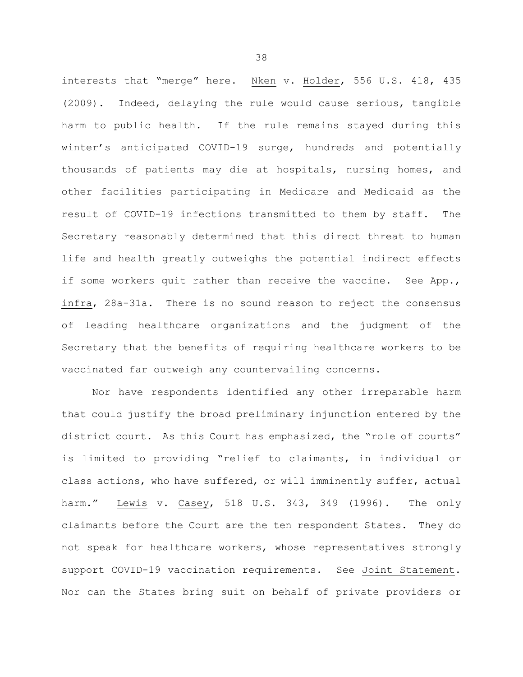interests that "merge" here. Nken v. Holder, 556 U.S. 418, 435 (2009). Indeed, delaying the rule would cause serious, tangible harm to public health. If the rule remains stayed during this winter's anticipated COVID-19 surge, hundreds and potentially thousands of patients may die at hospitals, nursing homes, and other facilities participating in Medicare and Medicaid as the result of COVID-19 infections transmitted to them by staff. The Secretary reasonably determined that this direct threat to human life and health greatly outweighs the potential indirect effects if some workers quit rather than receive the vaccine. See App., infra, 28a-31a. There is no sound reason to reject the consensus of leading healthcare organizations and the judgment of the Secretary that the benefits of requiring healthcare workers to be vaccinated far outweigh any countervailing concerns.

Nor have respondents identified any other irreparable harm that could justify the broad preliminary injunction entered by the district court. As this Court has emphasized, the "role of courts" is limited to providing "relief to claimants, in individual or class actions, who have suffered, or will imminently suffer, actual harm." Lewis v. Casey, 518 U.S. 343, 349 (1996). The only claimants before the Court are the ten respondent States. They do not speak for healthcare workers, whose representatives strongly support COVID-19 vaccination requirements. See Joint Statement. Nor can the States bring suit on behalf of private providers or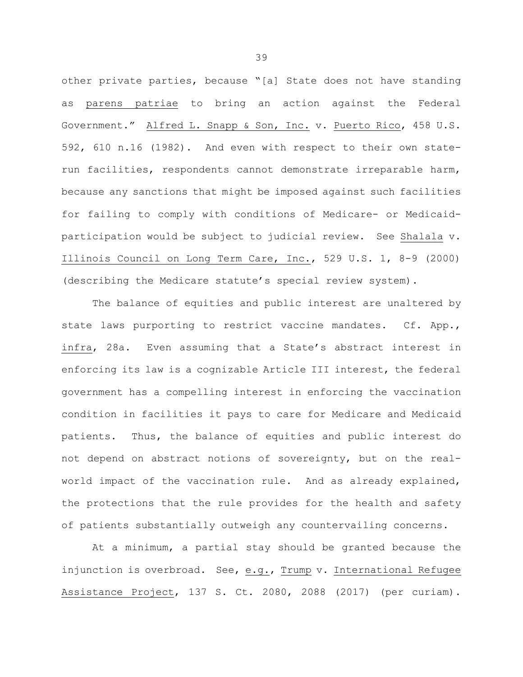other private parties, because "[a] State does not have standing as parens patriae to bring an action against the Federal Government." Alfred L. Snapp & Son, Inc. v. Puerto Rico, 458 U.S. 592, 610 n.16 (1982). And even with respect to their own staterun facilities, respondents cannot demonstrate irreparable harm, because any sanctions that might be imposed against such facilities for failing to comply with conditions of Medicare- or Medicaidparticipation would be subject to judicial review. See Shalala v. Illinois Council on Long Term Care, Inc., 529 U.S. 1, 8-9 (2000) (describing the Medicare statute's special review system).

The balance of equities and public interest are unaltered by state laws purporting to restrict vaccine mandates. Cf. App., infra, 28a. Even assuming that a State's abstract interest in enforcing its law is a cognizable Article III interest, the federal government has a compelling interest in enforcing the vaccination condition in facilities it pays to care for Medicare and Medicaid patients. Thus, the balance of equities and public interest do not depend on abstract notions of sovereignty, but on the realworld impact of the vaccination rule. And as already explained, the protections that the rule provides for the health and safety of patients substantially outweigh any countervailing concerns.

At a minimum, a partial stay should be granted because the injunction is overbroad. See, e.g., Trump v. International Refugee Assistance Project, 137 S. Ct. 2080, 2088 (2017) (per curiam).